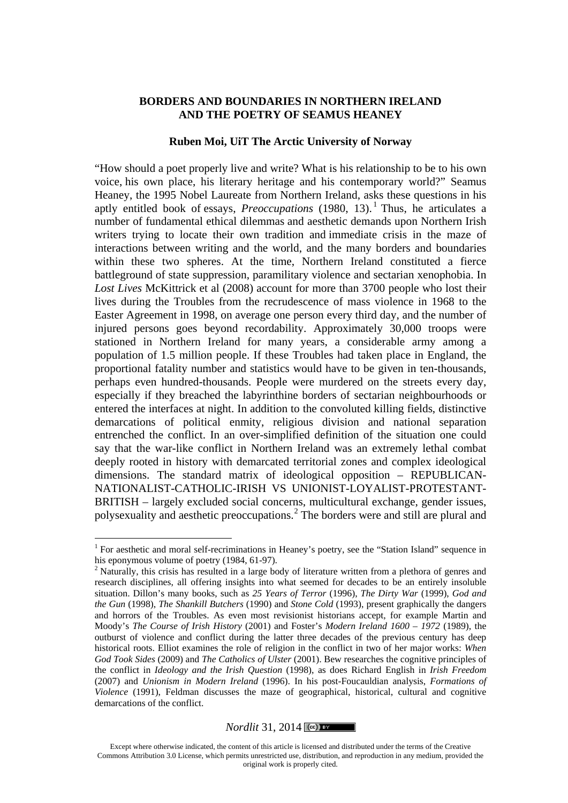### **BORDERS AND BOUNDARIES IN NORTHERN IRELAND AND THE POETRY OF SEAMUS HEANEY**

### **Ruben Moi, UiT The Arctic University of Norway**

"How should a poet properly live and write? What is his relationship to be to his own voice, his own place, his literary heritage and his contemporary world?" Seamus Heaney, the 1995 Nobel Laureate from Northern Ireland, asks these questions in his aptly entitled book of essays, *Preoccupations* (1980, 13).<sup>1</sup> Thus, he articulates a number of fundamental ethical dilemmas and aesthetic demands upon Northern Irish writers trying to locate their own tradition and immediate crisis in the maze of interactions between writing and the world, and the many borders and boundaries within these two spheres. At the time, Northern Ireland constituted a fierce battleground of state suppression, paramilitary violence and sectarian xenophobia. In *Lost Lives* McKittrick et al (2008) account for more than 3700 people who lost their lives during the Troubles from the recrudescence of mass violence in 1968 to the Easter Agreement in 1998, on average one person every third day, and the number of injured persons goes beyond recordability. Approximately 30,000 troops were stationed in Northern Ireland for many years, a considerable army among a population of 1.5 million people. If these Troubles had taken place in England, the proportional fatality number and statistics would have to be given in ten-thousands, perhaps even hundred-thousands. People were murdered on the streets every day, especially if they breached the labyrinthine borders of sectarian neighbourhoods or entered the interfaces at night. In addition to the convoluted killing fields, distinctive demarcations of political enmity, religious division and national separation entrenched the conflict. In an over-simplified definition of the situation one could say that the war-like conflict in Northern Ireland was an extremely lethal combat deeply rooted in history with demarcated territorial zones and complex ideological dimensions. The standard matrix of ideological opposition – REPUBLICAN-NATIONALIST-CATHOLIC-IRISH VS UNIONIST-LOYALIST-PROTESTANT-BRITISH – largely excluded social concerns, multicultural exchange, gender issues, polysexuality and aesthetic preoccupations.<sup>2</sup> The borders were and still are plural and

### *Nordlit* 31, 2014  $\sqrt{(\csc) \cdot \cdot \cdot}$

<sup>&</sup>lt;sup>1</sup> For aesthetic and moral self-recriminations in Heaney's poetry, see the "Station Island" sequence in his eponymous volume of poetry (1984, 61-97).<br><sup>2</sup> Naturally, this crisis has resulted in a large body of literature written from a plethora of genres and

research disciplines, all offering insights into what seemed for decades to be an entirely insoluble situation. Dillon's many books, such as *25 Years of Terror* (1996), *The Dirty War* (1999), *God and the Gun* (1998), *The Shankill Butchers* (1990) and *Stone Cold* (1993), present graphically the dangers and horrors of the Troubles. As even most revisionist historians accept, for example Martin and Moody's *The Course of Irish History* (2001) and Foster's *Modern Ireland 1600 – 1972* (1989), the outburst of violence and conflict during the latter three decades of the previous century has deep historical roots. Elliot examines the role of religion in the conflict in two of her major works: *When God Took Sides* (2009) and *The Catholics of Ulster* (2001). Bew researches the cognitive principles of the conflict in *Ideology and the Irish Question* (1998), as does Richard English in *Irish Freedom* (2007) and *Unionism in Modern Ireland* (1996). In his post-Foucauldian analysis, *Formations of Violence* (1991), Feldman discusses the maze of geographical, historical, cultural and cognitive demarcations of the conflict.

Except where otherwise indicated, the content of this article is licensed and distributed under the terms of the Creative Commons Attribution 3.0 License, which permits unrestricted use, distribution, and reproduction in any medium, provided the original work is properly cited.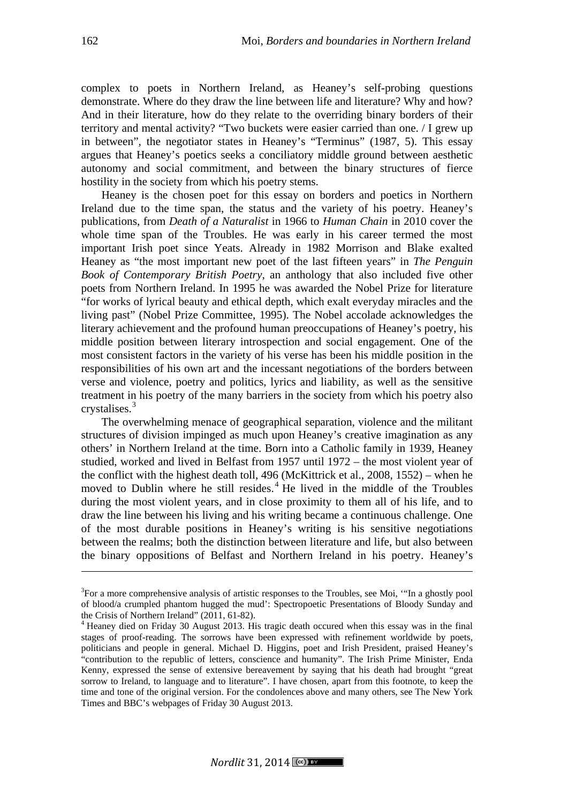complex to poets in Northern Ireland, as Heaney's self-probing questions demonstrate. Where do they draw the line between life and literature? Why and how? And in their literature, how do they relate to the overriding binary borders of their territory and mental activity? "Two buckets were easier carried than one. / I grew up in between", the negotiator states in Heaney's "Terminus" (1987, 5). This essay argues that Heaney's poetics seeks a conciliatory middle ground between aesthetic autonomy and social commitment, and between the binary structures of fierce hostility in the society from which his poetry stems.

Heaney is the chosen poet for this essay on borders and poetics in Northern Ireland due to the time span, the status and the variety of his poetry. Heaney's publications, from *Death of a Naturalist* in 1966 to *Human Chain* in 2010 cover the whole time span of the Troubles. He was early in his career termed the most important Irish poet since Yeats. Already in 1982 Morrison and Blake exalted Heaney as "the most important new poet of the last fifteen years" in *The Penguin Book of Contemporary British Poetry*, an anthology that also included five other poets from Northern Ireland. In 1995 he was awarded the Nobel Prize for literature "for works of lyrical beauty and ethical depth, which exalt everyday miracles and the living past" (Nobel Prize Committee, 1995). The Nobel accolade acknowledges the literary achievement and the profound human preoccupations of Heaney's poetry, his middle position between literary introspection and social engagement. One of the most consistent factors in the variety of his verse has been his middle position in the responsibilities of his own art and the incessant negotiations of the borders between verse and violence, poetry and politics, lyrics and liability, as well as the sensitive treatment in his poetry of the many barriers in the society from which his poetry also crystalises.<sup>3</sup>

The overwhelming menace of geographical separation, violence and the militant structures of division impinged as much upon Heaney's creative imagination as any others' in Northern Ireland at the time. Born into a Catholic family in 1939, Heaney studied, worked and lived in Belfast from 1957 until 1972 – the most violent year of the conflict with the highest death toll, 496 (McKittrick et al., 2008, 1552) – when he moved to Dublin where he still resides.<sup>4</sup> He lived in the middle of the Troubles during the most violent years, and in close proximity to them all of his life, and to draw the line between his living and his writing became a continuous challenge. One of the most durable positions in Heaney's writing is his sensitive negotiations between the realms; both the distinction between literature and life, but also between the binary oppositions of Belfast and Northern Ireland in his poetry. Heaney's

-

<sup>&</sup>lt;sup>3</sup>For a more comprehensive analysis of artistic responses to the Troubles, see Moi, "In a ghostly pool of blood/a crumpled phantom hugged the mud': Spectropoetic Presentations of Bloody Sunday and the Crisis of Northern Ireland" (2011, 61-82). <sup>4</sup> Heaney died on Friday 30 August 2013. His tragic death occured when this essay was in the final

stages of proof-reading. The sorrows have been expressed with refinement worldwide by poets, politicians and people in general. Michael D. Higgins, poet and Irish President, praised Heaney's "contribution to the republic of letters, conscience and humanity". The Irish Prime Minister, Enda Kenny, expressed the sense of extensive bereavement by saying that his death had brought "great sorrow to Ireland, to language and to literature". I have chosen, apart from this footnote, to keep the time and tone of the original version. For the condolences above and many others, see The New York Times and BBC's webpages of Friday 30 August 2013.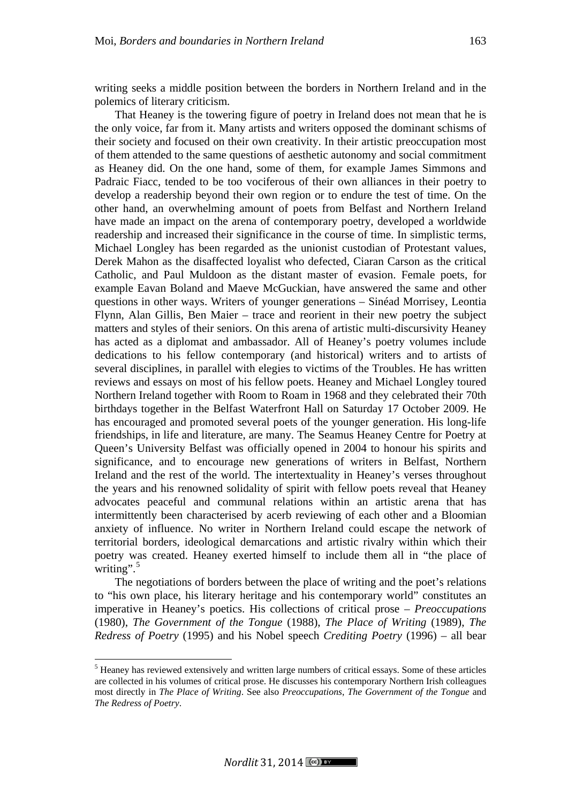writing seeks a middle position between the borders in Northern Ireland and in the polemics of literary criticism.

That Heaney is the towering figure of poetry in Ireland does not mean that he is the only voice, far from it. Many artists and writers opposed the dominant schisms of their society and focused on their own creativity. In their artistic preoccupation most of them attended to the same questions of aesthetic autonomy and social commitment as Heaney did. On the one hand, some of them, for example James Simmons and Padraic Fiacc, tended to be too vociferous of their own alliances in their poetry to develop a readership beyond their own region or to endure the test of time. On the other hand, an overwhelming amount of poets from Belfast and Northern Ireland have made an impact on the arena of contemporary poetry, developed a worldwide readership and increased their significance in the course of time. In simplistic terms, Michael Longley has been regarded as the unionist custodian of Protestant values, Derek Mahon as the disaffected loyalist who defected, Ciaran Carson as the critical Catholic, and Paul Muldoon as the distant master of evasion. Female poets, for example Eavan Boland and Maeve McGuckian, have answered the same and other questions in other ways. Writers of younger generations – Sinéad Morrisey, Leontia Flynn, Alan Gillis, Ben Maier – trace and reorient in their new poetry the subject matters and styles of their seniors. On this arena of artistic multi-discursivity Heaney has acted as a diplomat and ambassador. All of Heaney's poetry volumes include dedications to his fellow contemporary (and historical) writers and to artists of several disciplines, in parallel with elegies to victims of the Troubles. He has written reviews and essays on most of his fellow poets. Heaney and Michael Longley toured Northern Ireland together with Room to Roam in 1968 and they celebrated their 70th birthdays together in the Belfast Waterfront Hall on Saturday 17 October 2009. He has encouraged and promoted several poets of the younger generation. His long-life friendships, in life and literature, are many. The Seamus Heaney Centre for Poetry at Queen's University Belfast was officially opened in 2004 to honour his spirits and significance, and to encourage new generations of writers in Belfast, Northern Ireland and the rest of the world. The intertextuality in Heaney's verses throughout the years and his renowned solidality of spirit with fellow poets reveal that Heaney advocates peaceful and communal relations within an artistic arena that has intermittently been characterised by acerb reviewing of each other and a Bloomian anxiety of influence. No writer in Northern Ireland could escape the network of territorial borders, ideological demarcations and artistic rivalry within which their poetry was created. Heaney exerted himself to include them all in "the place of writing".<sup>5</sup>

The negotiations of borders between the place of writing and the poet's relations to "his own place, his literary heritage and his contemporary world" constitutes an imperative in Heaney's poetics. His collections of critical prose – *Preoccupations* (1980), *The Government of the Tongue* (1988), *The Place of Writing* (1989), *The Redress of Poetry* (1995) and his Nobel speech *Crediting Poetry* (1996) – all bear

 <sup>5</sup> Heaney has reviewed extensively and written large numbers of critical essays. Some of these articles are collected in his volumes of critical prose. He discusses his contemporary Northern Irish colleagues most directly in *The Place of Writing*. See also *Preoccupations*, *The Government of the Tongue* and *The Redress of Poetry*.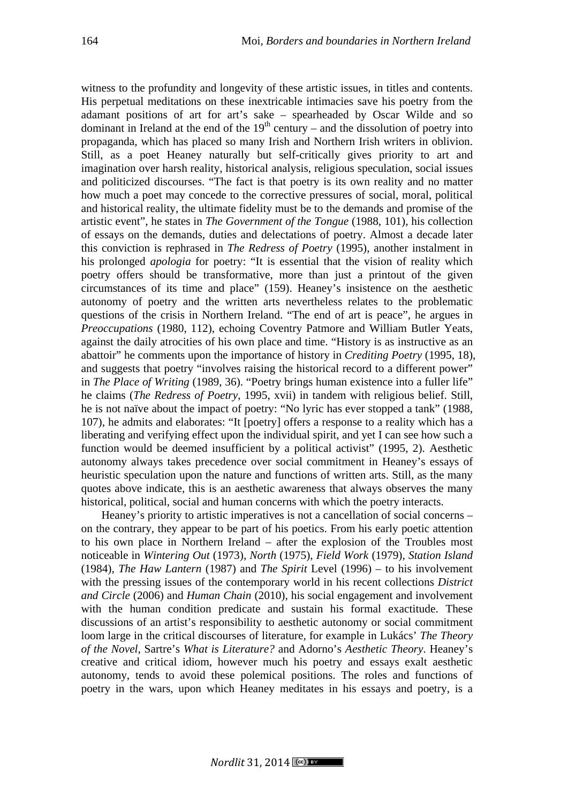witness to the profundity and longevity of these artistic issues, in titles and contents. His perpetual meditations on these inextricable intimacies save his poetry from the adamant positions of art for art's sake – spearheaded by Oscar Wilde and so dominant in Ireland at the end of the  $19<sup>th</sup>$  century – and the dissolution of poetry into propaganda, which has placed so many Irish and Northern Irish writers in oblivion. Still, as a poet Heaney naturally but self-critically gives priority to art and imagination over harsh reality, historical analysis, religious speculation, social issues and politicized discourses. "The fact is that poetry is its own reality and no matter how much a poet may concede to the corrective pressures of social, moral, political and historical reality, the ultimate fidelity must be to the demands and promise of the artistic event", he states in *The Government of the Tongue* (1988, 101), his collection of essays on the demands, duties and delectations of poetry. Almost a decade later this conviction is rephrased in *The Redress of Poetry* (1995), another instalment in his prolonged *apologia* for poetry: "It is essential that the vision of reality which poetry offers should be transformative, more than just a printout of the given circumstances of its time and place" (159). Heaney's insistence on the aesthetic autonomy of poetry and the written arts nevertheless relates to the problematic questions of the crisis in Northern Ireland. "The end of art is peace", he argues in *Preoccupations* (1980, 112), echoing Coventry Patmore and William Butler Yeats, against the daily atrocities of his own place and time. "History is as instructive as an abattoir" he comments upon the importance of history in *Crediting Poetry* (1995, 18), and suggests that poetry "involves raising the historical record to a different power" in *The Place of Writing* (1989, 36). "Poetry brings human existence into a fuller life" he claims (*The Redress of Poetry*, 1995, xvii) in tandem with religious belief. Still, he is not naïve about the impact of poetry: "No lyric has ever stopped a tank" (1988, 107), he admits and elaborates: "It [poetry] offers a response to a reality which has a liberating and verifying effect upon the individual spirit, and yet I can see how such a function would be deemed insufficient by a political activist" (1995, 2). Aesthetic autonomy always takes precedence over social commitment in Heaney's essays of heuristic speculation upon the nature and functions of written arts. Still, as the many quotes above indicate, this is an aesthetic awareness that always observes the many historical, political, social and human concerns with which the poetry interacts.

Heaney's priority to artistic imperatives is not a cancellation of social concerns – on the contrary, they appear to be part of his poetics. From his early poetic attention to his own place in Northern Ireland – after the explosion of the Troubles most noticeable in *Wintering Out* (1973), *North* (1975), *Field Work* (1979), *Station Island* (1984), *The Haw Lantern* (1987) and *The Spirit* Level (1996) – to his involvement with the pressing issues of the contemporary world in his recent collections *District and Circle* (2006) and *Human Chain* (2010), his social engagement and involvement with the human condition predicate and sustain his formal exactitude. These discussions of an artist's responsibility to aesthetic autonomy or social commitment loom large in the critical discourses of literature, for example in Lukács' *The Theory of the Novel*, Sartre's *What is Literature?* and Adorno's *Aesthetic Theory*. Heaney's creative and critical idiom, however much his poetry and essays exalt aesthetic autonomy, tends to avoid these polemical positions. The roles and functions of poetry in the wars, upon which Heaney meditates in his essays and poetry, is a

*Nordlit* 31, 2014  $\sqrt{c}$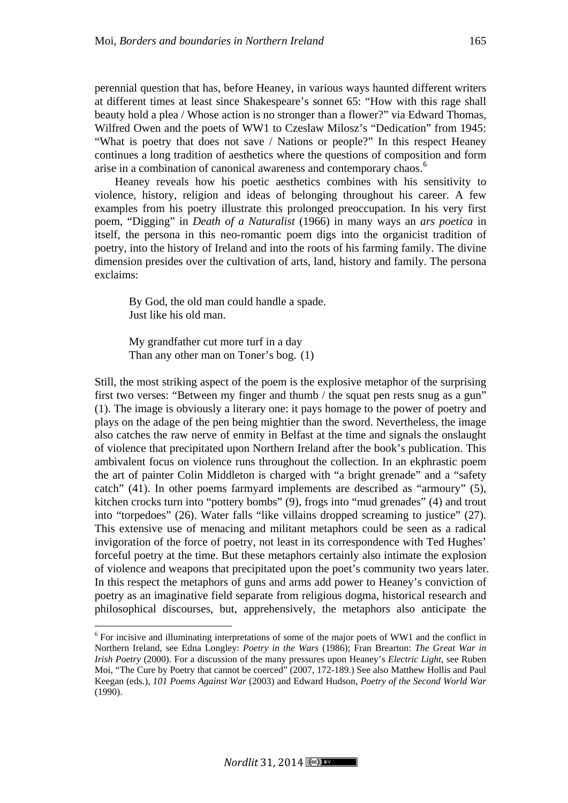perennial question that has, before Heaney, in various ways haunted different writers at different times at least since Shakespeare's sonnet 65: "How with this rage shall beauty hold a plea / Whose action is no stronger than a flower?" via Edward Thomas, Wilfred Owen and the poets of WW1 to Czeslaw Milosz's "Dedication" from 1945: "What is poetry that does not save / Nations or people?" In this respect Heaney continues a long tradition of aesthetics where the questions of composition and form arise in a combination of canonical awareness and contemporary chaos.<sup>6</sup>

Heaney reveals how his poetic aesthetics combines with his sensitivity to violence, history, religion and ideas of belonging throughout his career. A few examples from his poetry illustrate this prolonged preoccupation. In his very first poem, "Digging" in *Death of a Naturalist* (1966) in many ways an *ars poetica* in itself, the persona in this neo-romantic poem digs into the organicist tradition of poetry, into the history of Ireland and into the roots of his farming family. The divine dimension presides over the cultivation of arts, land, history and family. The persona exclaims:

By God, the old man could handle a spade. Just like his old man.

My grandfather cut more turf in a day Than any other man on Toner's bog. (1)

Still, the most striking aspect of the poem is the explosive metaphor of the surprising first two verses: "Between my finger and thumb / the squat pen rests snug as a gun" (1). The image is obviously a literary one: it pays homage to the power of poetry and plays on the adage of the pen being mightier than the sword. Nevertheless, the image also catches the raw nerve of enmity in Belfast at the time and signals the onslaught of violence that precipitated upon Northern Ireland after the book's publication. This ambivalent focus on violence runs throughout the collection. In an ekphrastic poem the art of painter Colin Middleton is charged with "a bright grenade" and a "safety catch" (41). In other poems farmyard implements are described as "armoury" (5), kitchen crocks turn into "pottery bombs" (9), frogs into "mud grenades" (4) and trout into "torpedoes" (26). Water falls "like villains dropped screaming to justice" (27). This extensive use of menacing and militant metaphors could be seen as a radical invigoration of the force of poetry, not least in its correspondence with Ted Hughes' forceful poetry at the time. But these metaphors certainly also intimate the explosion of violence and weapons that precipitated upon the poet's community two years later. In this respect the metaphors of guns and arms add power to Heaney's conviction of poetry as an imaginative field separate from religious dogma, historical research and philosophical discourses, but, apprehensively, the metaphors also anticipate the

 <sup>6</sup> For incisive and illuminating interpretations of some of the major poets of WW1 and the conflict in Northern Ireland, see Edna Longley: *Poetry in the Wars* (1986); Fran Brearton: *The Great War in Irish Poetry* (2000). For a discussion of the many pressures upon Heaney's *Electric Light*, see Ruben Moi, "The Cure by Poetry that cannot be coerced" (2007, 172-189.) See also Matthew Hollis and Paul Keegan (eds.), *101 Poems Against War* (2003) and Edward Hudson, *Poetry of the Second World War* (1990).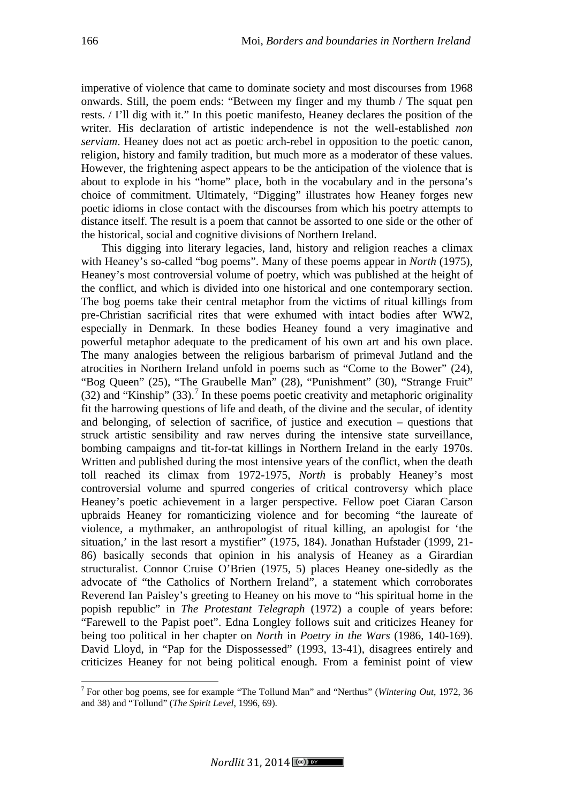imperative of violence that came to dominate society and most discourses from 1968 onwards. Still, the poem ends: "Between my finger and my thumb / The squat pen rests. / I'll dig with it." In this poetic manifesto, Heaney declares the position of the writer. His declaration of artistic independence is not the well-established *non serviam*. Heaney does not act as poetic arch-rebel in opposition to the poetic canon, religion, history and family tradition, but much more as a moderator of these values. However, the frightening aspect appears to be the anticipation of the violence that is about to explode in his "home" place, both in the vocabulary and in the persona's choice of commitment. Ultimately, "Digging" illustrates how Heaney forges new poetic idioms in close contact with the discourses from which his poetry attempts to distance itself. The result is a poem that cannot be assorted to one side or the other of the historical, social and cognitive divisions of Northern Ireland.

This digging into literary legacies, land, history and religion reaches a climax with Heaney's so-called "bog poems". Many of these poems appear in *North* (1975), Heaney's most controversial volume of poetry, which was published at the height of the conflict, and which is divided into one historical and one contemporary section. The bog poems take their central metaphor from the victims of ritual killings from pre-Christian sacrificial rites that were exhumed with intact bodies after WW2, especially in Denmark. In these bodies Heaney found a very imaginative and powerful metaphor adequate to the predicament of his own art and his own place. The many analogies between the religious barbarism of primeval Jutland and the atrocities in Northern Ireland unfold in poems such as "Come to the Bower" (24), "Bog Queen" (25), "The Graubelle Man" (28), "Punishment" (30), "Strange Fruit"  $(32)$  and "Kinship"  $(33)$ .<sup>7</sup> In these poems poetic creativity and metaphoric originality fit the harrowing questions of life and death, of the divine and the secular, of identity and belonging, of selection of sacrifice, of justice and execution – questions that struck artistic sensibility and raw nerves during the intensive state surveillance, bombing campaigns and tit-for-tat killings in Northern Ireland in the early 1970s. Written and published during the most intensive years of the conflict, when the death toll reached its climax from 1972-1975, *North* is probably Heaney's most controversial volume and spurred congeries of critical controversy which place Heaney's poetic achievement in a larger perspective. Fellow poet Ciaran Carson upbraids Heaney for romanticizing violence and for becoming "the laureate of violence, a mythmaker, an anthropologist of ritual killing, an apologist for 'the situation,' in the last resort a mystifier" (1975, 184). Jonathan Hufstader (1999, 21- 86) basically seconds that opinion in his analysis of Heaney as a Girardian structuralist. Connor Cruise O'Brien (1975, 5) places Heaney one-sidedly as the advocate of "the Catholics of Northern Ireland", a statement which corroborates Reverend Ian Paisley's greeting to Heaney on his move to "his spiritual home in the popish republic" in *The Protestant Telegraph* (1972) a couple of years before: "Farewell to the Papist poet". Edna Longley follows suit and criticizes Heaney for being too political in her chapter on *North* in *Poetry in the Wars* (1986, 140-169). David Lloyd, in "Pap for the Dispossessed" (1993, 13-41), disagrees entirely and criticizes Heaney for not being political enough. From a feminist point of view

 <sup>7</sup> For other bog poems, see for example "The Tollund Man" and "Nerthus" (*Wintering Out*, 1972, 36 and 38) and "Tollund" (*The Spirit Level*, 1996, 69).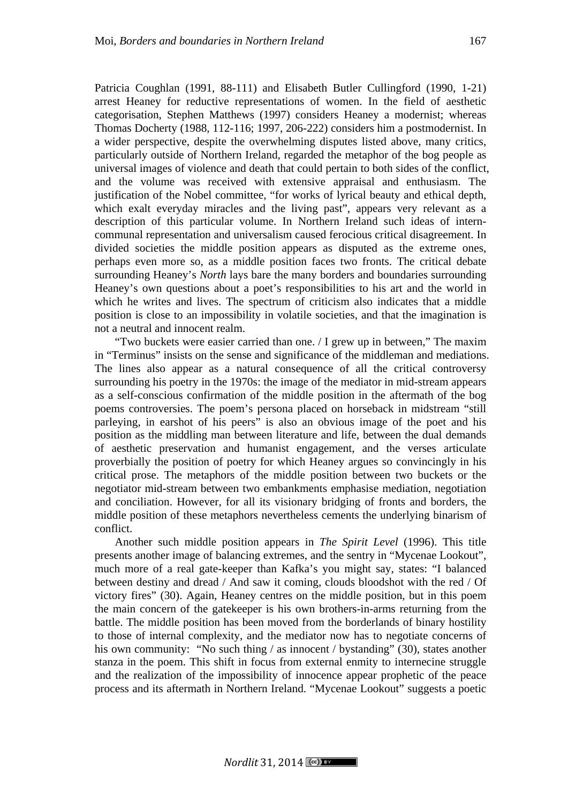Patricia Coughlan (1991, 88-111) and Elisabeth Butler Cullingford (1990, 1-21) arrest Heaney for reductive representations of women. In the field of aesthetic categorisation, Stephen Matthews (1997) considers Heaney a modernist; whereas Thomas Docherty (1988, 112-116; 1997, 206-222) considers him a postmodernist. In a wider perspective, despite the overwhelming disputes listed above, many critics, particularly outside of Northern Ireland, regarded the metaphor of the bog people as universal images of violence and death that could pertain to both sides of the conflict, and the volume was received with extensive appraisal and enthusiasm. The justification of the Nobel committee, "for works of lyrical beauty and ethical depth, which exalt everyday miracles and the living past", appears very relevant as a description of this particular volume. In Northern Ireland such ideas of intern-

communal representation and universalism caused ferocious critical disagreement. In divided societies the middle position appears as disputed as the extreme ones, perhaps even more so, as a middle position faces two fronts. The critical debate surrounding Heaney's *North* lays bare the many borders and boundaries surrounding Heaney's own questions about a poet's responsibilities to his art and the world in which he writes and lives. The spectrum of criticism also indicates that a middle position is close to an impossibility in volatile societies, and that the imagination is not a neutral and innocent realm.

"Two buckets were easier carried than one. / I grew up in between," The maxim in "Terminus" insists on the sense and significance of the middleman and mediations. The lines also appear as a natural consequence of all the critical controversy surrounding his poetry in the 1970s: the image of the mediator in mid-stream appears as a self-conscious confirmation of the middle position in the aftermath of the bog poems controversies. The poem's persona placed on horseback in midstream "still parleying, in earshot of his peers" is also an obvious image of the poet and his position as the middling man between literature and life, between the dual demands of aesthetic preservation and humanist engagement, and the verses articulate proverbially the position of poetry for which Heaney argues so convincingly in his critical prose. The metaphors of the middle position between two buckets or the negotiator mid-stream between two embankments emphasise mediation, negotiation and conciliation. However, for all its visionary bridging of fronts and borders, the middle position of these metaphors nevertheless cements the underlying binarism of conflict.

Another such middle position appears in *The Spirit Level* (1996). This title presents another image of balancing extremes, and the sentry in "Mycenae Lookout", much more of a real gate-keeper than Kafka's you might say, states: "I balanced between destiny and dread / And saw it coming, clouds bloodshot with the red / Of victory fires" (30). Again, Heaney centres on the middle position, but in this poem the main concern of the gatekeeper is his own brothers-in-arms returning from the battle. The middle position has been moved from the borderlands of binary hostility to those of internal complexity, and the mediator now has to negotiate concerns of his own community: "No such thing / as innocent / bystanding" (30), states another stanza in the poem. This shift in focus from external enmity to internecine struggle and the realization of the impossibility of innocence appear prophetic of the peace process and its aftermath in Northern Ireland. "Mycenae Lookout" suggests a poetic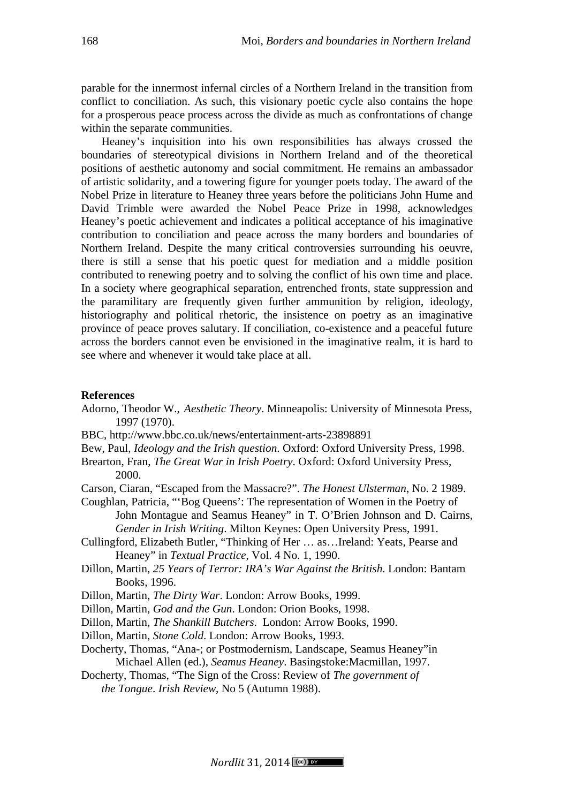parable for the innermost infernal circles of a Northern Ireland in the transition from conflict to conciliation. As such, this visionary poetic cycle also contains the hope for a prosperous peace process across the divide as much as confrontations of change within the separate communities.

Heaney's inquisition into his own responsibilities has always crossed the boundaries of stereotypical divisions in Northern Ireland and of the theoretical positions of aesthetic autonomy and social commitment. He remains an ambassador of artistic solidarity, and a towering figure for younger poets today. The award of the Nobel Prize in literature to Heaney three years before the politicians John Hume and David Trimble were awarded the Nobel Peace Prize in 1998, acknowledges Heaney's poetic achievement and indicates a political acceptance of his imaginative contribution to conciliation and peace across the many borders and boundaries of Northern Ireland. Despite the many critical controversies surrounding his oeuvre, there is still a sense that his poetic quest for mediation and a middle position contributed to renewing poetry and to solving the conflict of his own time and place. In a society where geographical separation, entrenched fronts, state suppression and the paramilitary are frequently given further ammunition by religion, ideology, historiography and political rhetoric, the insistence on poetry as an imaginative province of peace proves salutary. If conciliation, co-existence and a peaceful future across the borders cannot even be envisioned in the imaginative realm, it is hard to see where and whenever it would take place at all.

#### **References**

- Adorno, Theodor W., *Aesthetic Theory*. Minneapolis: University of Minnesota Press, 1997 (1970).
- BBC, http://www.bbc.co.uk/news/entertainment-arts-23898891

Bew, Paul, *Ideology and the Irish question*. Oxford: Oxford University Press, 1998.

- Brearton, Fran, *The Great War in Irish Poetry*. Oxford: Oxford University Press, 2000.
- Carson, Ciaran, "Escaped from the Massacre?". *The Honest Ulsterman*, No. 2 1989.
- Coughlan, Patricia, "'Bog Queens': The representation of Women in the Poetry of John Montague and Seamus Heaney" in T. O'Brien Johnson and D. Cairns, *Gender in Irish Writing*. Milton Keynes: Open University Press, 1991.
- Cullingford, Elizabeth Butler, "Thinking of Her … as…Ireland: Yeats, Pearse and Heaney" in *Textual Practice*, Vol. 4 No. 1, 1990.
- Dillon, Martin, *25 Years of Terror: IRA's War Against the British*. London: Bantam Books, 1996.
- Dillon, Martin, *The Dirty War*. London: Arrow Books, 1999.
- Dillon, Martin, *God and the Gun*. London: Orion Books, 1998.
- Dillon, Martin, *The Shankill Butchers*. London: Arrow Books, 1990.
- Dillon, Martin, *Stone Cold*. London: Arrow Books, 1993.
- Docherty, Thomas, "Ana-; or Postmodernism, Landscape, Seamus Heaney"in Michael Allen (ed.), *Seamus Heaney*. Basingstoke:Macmillan, 1997.
- Docherty, Thomas, "The Sign of the Cross: Review of *The government of the Tongue*. *Irish Review*, No 5 (Autumn 1988).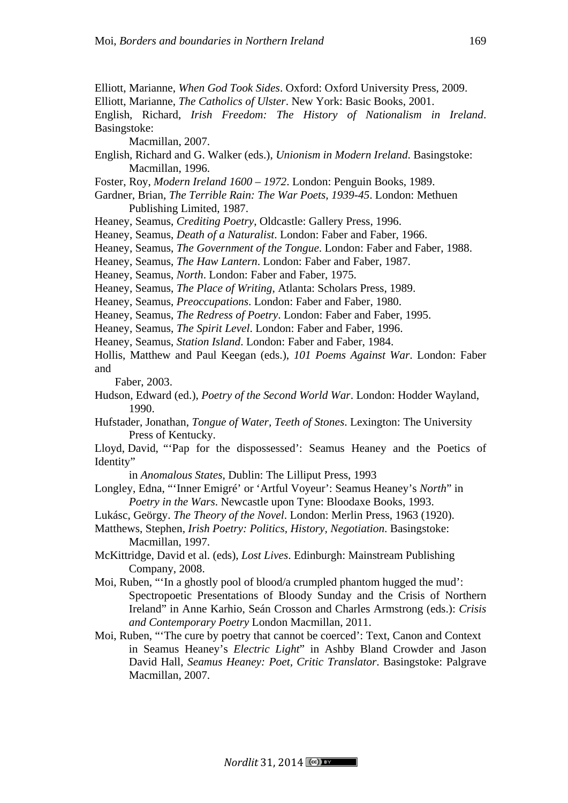Elliott, Marianne, *When God Took Sides*. Oxford: Oxford University Press, 2009. Elliott, Marianne, *The Catholics of Ulster*. New York: Basic Books, 2001. English, Richard, *Irish Freedom: The History of Nationalism in Ireland*.

Macmillan, 2007.

Basingstoke:

- English, Richard and G. Walker (eds.), *Unionism in Modern Ireland*. Basingstoke: Macmillan, 1996.
- Foster, Roy, *Modern Ireland 1600 – 1972*. London: Penguin Books, 1989.
- Gardner, Brian, *The Terrible Rain: The War Poets, 1939-45*. London: Methuen Publishing Limited, 1987.
- Heaney, Seamus, *Crediting Poetry*, Oldcastle: Gallery Press, 1996.
- Heaney, Seamus, *Death of a Naturalist*. London: Faber and Faber, 1966.
- Heaney, Seamus, *The Government of the Tongue*. London: Faber and Faber, 1988.
- Heaney, Seamus, *The Haw Lantern*. London: Faber and Faber, 1987.
- Heaney, Seamus, *North*. London: Faber and Faber, 1975.
- Heaney, Seamus, *The Place of Writing*, Atlanta: Scholars Press, 1989.
- Heaney, Seamus, *Preoccupations*. London: Faber and Faber, 1980.
- Heaney, Seamus, *The Redress of Poetry*. London: Faber and Faber, 1995.
- Heaney, Seamus, *The Spirit Level*. London: Faber and Faber, 1996.
- Heaney, Seamus, *Station Island*. London: Faber and Faber, 1984.

Hollis, Matthew and Paul Keegan (eds.), *101 Poems Against War*. London: Faber and

Faber, 2003.

- Hudson, Edward (ed.), *Poetry of the Second World War*. London: Hodder Wayland, 1990.
- Hufstader, Jonathan, *Tongue of Water, Teeth of Stones*. Lexington: The University Press of Kentucky.
- Lloyd, David, "'Pap for the dispossessed': Seamus Heaney and the Poetics of Identity"

in *Anomalous States*, Dublin: The Lilliput Press, 1993

- Longley, Edna, "'Inner Emigré' or 'Artful Voyeur': Seamus Heaney's *North*" in *Poetry in the Wars*. Newcastle upon Tyne: Bloodaxe Books, 1993.
- Lukásc, Geörgy. *The Theory of the Novel*. London: Merlin Press, 1963 (1920).
- Matthews, Stephen, *Irish Poetry: Politics, History, Negotiation*. Basingstoke: Macmillan, 1997.
- McKittridge, David et al. (eds), *Lost Lives*. Edinburgh: Mainstream Publishing Company, 2008.
- Moi, Ruben, "'In a ghostly pool of blood/a crumpled phantom hugged the mud': Spectropoetic Presentations of Bloody Sunday and the Crisis of Northern Ireland" in Anne Karhio, Seán Crosson and Charles Armstrong (eds.): *Crisis and Contemporary Poetry* London Macmillan, 2011.
- Moi, Ruben, "'The cure by poetry that cannot be coerced': Text, Canon and Context in Seamus Heaney's *Electric Light*" in Ashby Bland Crowder and Jason David Hall, *Seamus Heaney: Poet, Critic Translator*. Basingstoke: Palgrave Macmillan, 2007.